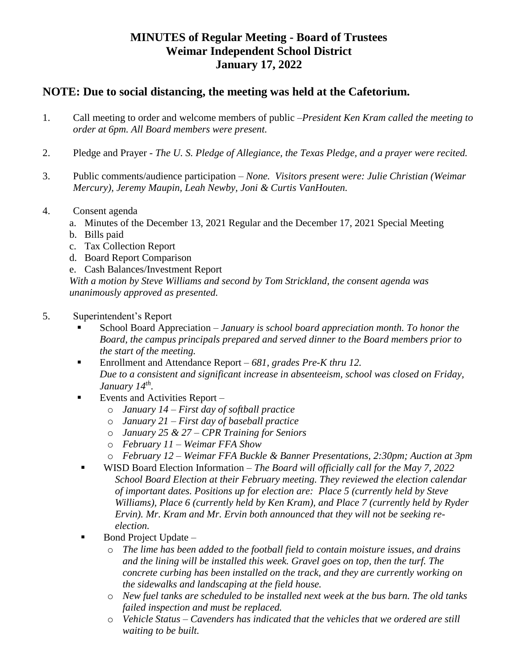## **MINUTES of Regular Meeting - Board of Trustees Weimar Independent School District January 17, 2022**

## **NOTE: Due to social distancing, the meeting was held at the Cafetorium.**

- 1. Call meeting to order and welcome members of public –*President Ken Kram called the meeting to order at 6pm. All Board members were present.*
- 2. Pledge and Prayer *The U. S. Pledge of Allegiance, the Texas Pledge, and a prayer were recited.*
- 3. Public comments/audience participation *None. Visitors present were: Julie Christian (Weimar Mercury), Jeremy Maupin, Leah Newby, Joni & Curtis VanHouten.*
- 4. Consent agenda
	- a. Minutes of the December 13, 2021 Regular and the December 17, 2021 Special Meeting
	- b. Bills paid
	- c. Tax Collection Report
	- d. Board Report Comparison
	- e. Cash Balances/Investment Report

*With a motion by Steve Williams and second by Tom Strickland, the consent agenda was unanimously approved as presented.*

- 5. Superintendent's Report
	- School Board Appreciation *January is school board appreciation month. To honor the Board, the campus principals prepared and served dinner to the Board members prior to the start of the meeting.*
	- Enrollment and Attendance Report 681, grades Pre-K thru 12. *Due to a consistent and significant increase in absenteeism, school was closed on Friday, January 14th .*
	- Events and Activities Report
		- o *January 14 – First day of softball practice*
		- o *January 21 – First day of baseball practice*
		- o *January 25 & 27 – CPR Training for Seniors*
		- o *February 11 – Weimar FFA Show*
		- o *February 12 – Weimar FFA Buckle & Banner Presentations, 2:30pm; Auction at 3pm*
		- WISD Board Election Information *The Board will officially call for the May 7, 2022 School Board Election at their February meeting. They reviewed the election calendar of important dates. Positions up for election are: Place 5 (currently held by Steve Williams), Place 6 (currently held by Ken Kram), and Place 7 (currently held by Ryder Ervin). Mr. Kram and Mr. Ervin both announced that they will not be seeking reelection.*
	- Bond Project Update *–*
		- o *The lime has been added to the football field to contain moisture issues, and drains and the lining will be installed this week. Gravel goes on top, then the turf. The concrete curbing has been installed on the track, and they are currently working on the sidewalks and landscaping at the field house.*
		- o *New fuel tanks are scheduled to be installed next week at the bus barn. The old tanks failed inspection and must be replaced.*
		- o *Vehicle Status – Cavenders has indicated that the vehicles that we ordered are still waiting to be built.*